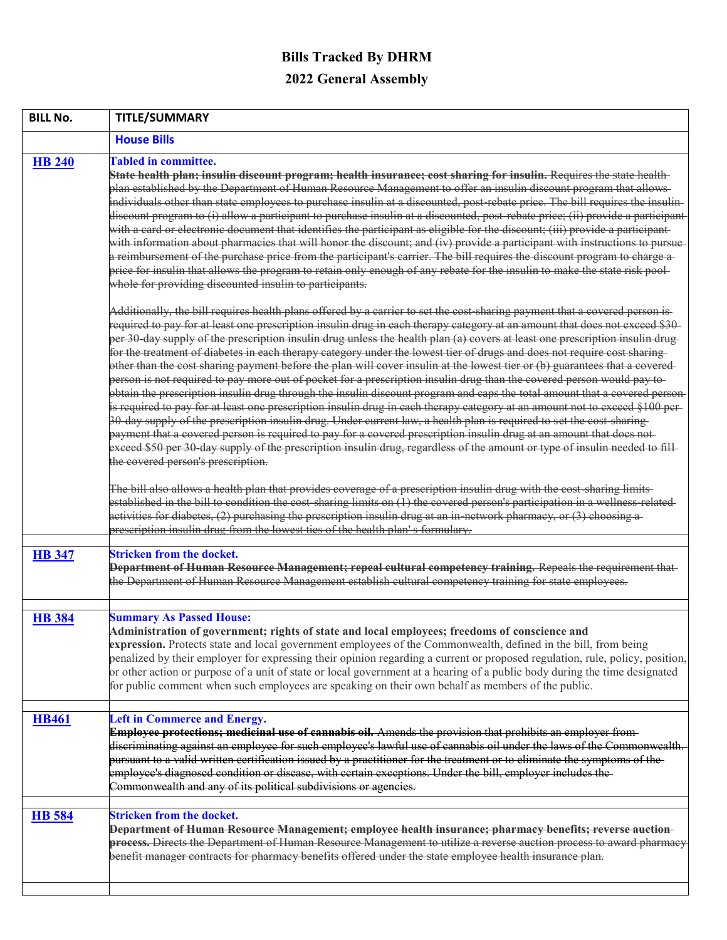## **Bills Tracked By DHRM 2022 General Assembly**

| <b>BILL No.</b> | <b>TITLE/SUMMARY</b>                                                                                                                                                                                                                                                                                                                                                                                                                                                                                                                                                                                                                                                                                                                                                                                                                                                                                                                                                                                                                                                                                                                                                                                                                                                                                                                                                                                                                                                                                                                                                                                                                                                                                                                                                                                                                                                                                                                                                                                                                            |
|-----------------|-------------------------------------------------------------------------------------------------------------------------------------------------------------------------------------------------------------------------------------------------------------------------------------------------------------------------------------------------------------------------------------------------------------------------------------------------------------------------------------------------------------------------------------------------------------------------------------------------------------------------------------------------------------------------------------------------------------------------------------------------------------------------------------------------------------------------------------------------------------------------------------------------------------------------------------------------------------------------------------------------------------------------------------------------------------------------------------------------------------------------------------------------------------------------------------------------------------------------------------------------------------------------------------------------------------------------------------------------------------------------------------------------------------------------------------------------------------------------------------------------------------------------------------------------------------------------------------------------------------------------------------------------------------------------------------------------------------------------------------------------------------------------------------------------------------------------------------------------------------------------------------------------------------------------------------------------------------------------------------------------------------------------------------------------|
|                 | <b>House Bills</b>                                                                                                                                                                                                                                                                                                                                                                                                                                                                                                                                                                                                                                                                                                                                                                                                                                                                                                                                                                                                                                                                                                                                                                                                                                                                                                                                                                                                                                                                                                                                                                                                                                                                                                                                                                                                                                                                                                                                                                                                                              |
| <b>HB 240</b>   | <b>Tabled in committee.</b><br>State health plan; insulin discount program; health insurance; cost sharing for insulin. Requires the state health-<br>plan established by the Department of Human Resource Management to offer an insulin discount program that allows-<br>individuals other than state employees to purchase insulin at a discounted, post-rebate price. The bill requires the insulin-<br>discount program to (i) allow a participant to purchase insulin at a discounted, post-rebate price; (ii) provide a participant<br>with a card or electronic document that identifies the participant as eligible for the discount; (iii) provide a participant-<br>with information about pharmacies that will honor the discount; and (iv) provide a participant with instructions to pursue<br>a reimbursement of the purchase price from the participant's carrier. The bill requires the discount program to charge a-<br>price for insulin that allows the program to retain only enough of any rebate for the insulin to make the state risk pool-<br>whole for providing discounted insulin to participants.<br>Additionally, the bill requires health plans offered by a carrier to set the cost sharing payment that a covered person is-<br>required to pay for at least one prescription insulin drug in each therapy category at an amount that does not exceed \$30-<br>per 30 day supply of the prescription insulin drug unless the health plan (a) covers at least one prescription insulin drug-<br>for the treatment of diabetes in each therapy category under the lowest tier of drugs and does not require cost sharing<br>other than the cost sharing payment before the plan will cover insulin at the lowest tier or (b) guarantees that a covered-<br>person is not required to pay more out of pocket for a prescription insulin drug than the covered person would pay to-<br>obtain the prescription insulin drug through the insulin discount program and caps the total amount that a covered person- |
|                 | is required to pay for at least one prescription insulin drug in each therapy category at an amount not to exceed §100 per-<br>30 day supply of the prescription insulin drug. Under current law, a health plan is required to set the cost sharing<br>payment that a covered person is required to pay for a covered prescription insulin drug at an amount that does not<br>exceed \$50 per 30-day supply of the prescription insulin drug, regardless of the amount or type of insulin needed to fill-<br>the covered person's prescription.<br>The bill also allows a health plan that provides coverage of a prescription insulin drug with the cost-sharing limits-<br>established in the bill to condition the cost-sharing limits on (1) the covered person's participation in a wellness-related-<br>activities for diabetes, (2) purchasing the prescription insulin drug at an in-network pharmacy, or (3) choosing a-<br>prescription insulin drug from the lowest ties of the health plan's formulary.                                                                                                                                                                                                                                                                                                                                                                                                                                                                                                                                                                                                                                                                                                                                                                                                                                                                                                                                                                                                                             |
| <b>HB</b> 347   | <b>Stricken from the docket.</b><br>Department of Human Resource Management; repeal cultural competency training. Repeals the requirement that<br>the Department of Human Resource Management establish cultural competency training for state employees.                                                                                                                                                                                                                                                                                                                                                                                                                                                                                                                                                                                                                                                                                                                                                                                                                                                                                                                                                                                                                                                                                                                                                                                                                                                                                                                                                                                                                                                                                                                                                                                                                                                                                                                                                                                       |
| <b>HB</b> 384   | <b>Summary As Passed House:</b><br>Administration of government; rights of state and local employees; freedoms of conscience and<br>expression. Protects state and local government employees of the Commonwealth, defined in the bill, from being<br>penalized by their employer for expressing their opinion regarding a current or proposed regulation, rule, policy, position,<br>or other action or purpose of a unit of state or local government at a hearing of a public body during the time designated<br>for public comment when such employees are speaking on their own behalf as members of the public.                                                                                                                                                                                                                                                                                                                                                                                                                                                                                                                                                                                                                                                                                                                                                                                                                                                                                                                                                                                                                                                                                                                                                                                                                                                                                                                                                                                                                           |
| <b>HB461</b>    | <b>Left in Commerce and Energy.</b><br>Employee protections; medicinal use of cannabis oil. Amends the provision that prohibits an employer from-<br>discriminating against an employee for such employee's lawful use of cannabis oil under the laws of the Commonwealth.<br>pursuant to a valid written certification issued by a practitioner for the treatment or to eliminate the symptoms of the-<br>employee's diagnosed condition or disease, with certain exceptions. Under the bill, employer includes the-<br>Commonwealth and any of its political subdivisions or agencies.                                                                                                                                                                                                                                                                                                                                                                                                                                                                                                                                                                                                                                                                                                                                                                                                                                                                                                                                                                                                                                                                                                                                                                                                                                                                                                                                                                                                                                                        |
| <b>HB</b> 584   | <b>Stricken from the docket.</b><br>Department of Human Resource Management; employee health insurance; pharmacy benefits; reverse auction-<br>process. Directs the Department of Human Resource Management to utilize a reverse auction process to award pharmacy<br>benefit manager contracts for pharmacy benefits offered under the state employee health insurance plan.                                                                                                                                                                                                                                                                                                                                                                                                                                                                                                                                                                                                                                                                                                                                                                                                                                                                                                                                                                                                                                                                                                                                                                                                                                                                                                                                                                                                                                                                                                                                                                                                                                                                   |
|                 |                                                                                                                                                                                                                                                                                                                                                                                                                                                                                                                                                                                                                                                                                                                                                                                                                                                                                                                                                                                                                                                                                                                                                                                                                                                                                                                                                                                                                                                                                                                                                                                                                                                                                                                                                                                                                                                                                                                                                                                                                                                 |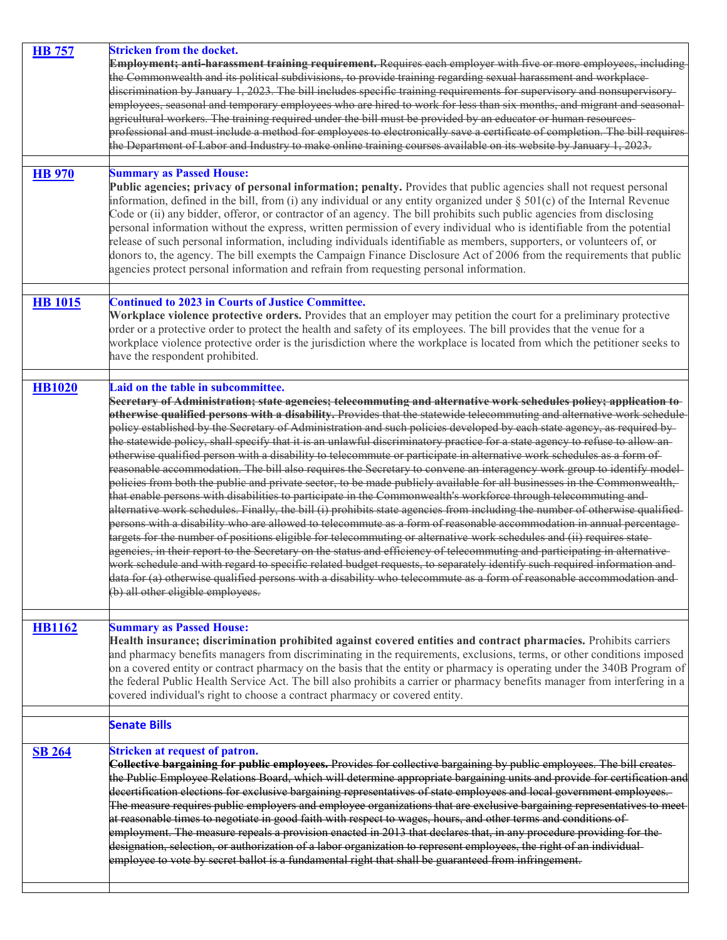| <b>HB</b> 757  | <b>Stricken from the docket.</b>                                                                                                                                                                                                                   |
|----------------|----------------------------------------------------------------------------------------------------------------------------------------------------------------------------------------------------------------------------------------------------|
|                | Employment; anti-harassment training requirement. Requires each employer with five or more employees, including                                                                                                                                    |
|                | the Commonwealth and its political subdivisions, to provide training regarding sexual harassment and workplace-                                                                                                                                    |
|                | discrimination by January 1, 2023. The bill includes specific training requirements for supervisory and nonsupervisory-                                                                                                                            |
|                | employees, seasonal and temporary employees who are hired to work for less than six months, and migrant and seasonal                                                                                                                               |
|                | agricultural workers. The training required under the bill must be provided by an educator or human resources-                                                                                                                                     |
|                | professional and must include a method for employees to electronically save a certificate of completion. The bill requires                                                                                                                         |
|                | the Department of Labor and Industry to make online training courses available on its website by January 1, 2023.                                                                                                                                  |
|                |                                                                                                                                                                                                                                                    |
| <b>HB</b> 970  | <b>Summary as Passed House:</b>                                                                                                                                                                                                                    |
|                | Public agencies; privacy of personal information; penalty. Provides that public agencies shall not request personal<br>information, defined in the bill, from (i) any individual or any entity organized under $\S 501(c)$ of the Internal Revenue |
|                | Code or (ii) any bidder, offeror, or contractor of an agency. The bill prohibits such public agencies from disclosing                                                                                                                              |
|                | personal information without the express, written permission of every individual who is identifiable from the potential                                                                                                                            |
|                | release of such personal information, including individuals identifiable as members, supporters, or volunteers of, or                                                                                                                              |
|                | donors to, the agency. The bill exempts the Campaign Finance Disclosure Act of 2006 from the requirements that public                                                                                                                              |
|                | agencies protect personal information and refrain from requesting personal information.                                                                                                                                                            |
|                |                                                                                                                                                                                                                                                    |
|                |                                                                                                                                                                                                                                                    |
| <b>HB</b> 1015 | <b>Continued to 2023 in Courts of Justice Committee.</b>                                                                                                                                                                                           |
|                | Workplace violence protective orders. Provides that an employer may petition the court for a preliminary protective<br>order or a protective order to protect the health and safety of its employees. The bill provides that the venue for a       |
|                | workplace violence protective order is the jurisdiction where the workplace is located from which the petitioner seeks to                                                                                                                          |
|                | have the respondent prohibited.                                                                                                                                                                                                                    |
|                |                                                                                                                                                                                                                                                    |
|                | Laid on the table in subcommittee.                                                                                                                                                                                                                 |
| <b>HB1020</b>  | Secretary of Administration; state agencies; telecommuting and alternative work schedules policy; application to                                                                                                                                   |
|                | otherwise qualified persons with a disability. Provides that the statewide telecommuting and alternative work schedule                                                                                                                             |
|                | policy established by the Secretary of Administration and such policies developed by each state agency, as required by-                                                                                                                            |
|                | the statewide policy, shall specify that it is an unlawful discriminatory practice for a state agency to refuse to allow an-                                                                                                                       |
|                | otherwise qualified person with a disability to telecommute or participate in alternative work schedules as a form of                                                                                                                              |
|                | reasonable accommodation. The bill also requires the Secretary to convene an interagency work group to identify model-                                                                                                                             |
|                | policies from both the public and private sector, to be made publicly available for all businesses in the Commonwealth,                                                                                                                            |
|                | that enable persons with disabilities to participate in the Commonwealth's workforce through telecommuting and-                                                                                                                                    |
|                | alternative work schedules. Finally, the bill (i) prohibits state agencies from including the number of otherwise qualified-                                                                                                                       |
|                | persons with a disability who are allowed to telecommute as a form of reasonable accommodation in annual percentage-                                                                                                                               |
|                | targets for the number of positions eligible for telecommuting or alternative work schedules and (ii) requires state-                                                                                                                              |
|                | agencies, in their report to the Secretary on the status and efficiency of telecommuting and participating in alternative-                                                                                                                         |
|                | work schedule and with regard to specific related budget requests, to separately identify such required information and                                                                                                                            |
|                | data for (a) otherwise qualified persons with a disability who telecommute as a form of reasonable accommodation and                                                                                                                               |
|                | (b) all other eligible employees.                                                                                                                                                                                                                  |
|                |                                                                                                                                                                                                                                                    |
| <b>HB1162</b>  | <b>Summary as Passed House:</b>                                                                                                                                                                                                                    |
|                | Health insurance; discrimination prohibited against covered entities and contract pharmacies. Prohibits carriers                                                                                                                                   |
|                | and pharmacy benefits managers from discriminating in the requirements, exclusions, terms, or other conditions imposed                                                                                                                             |
|                | on a covered entity or contract pharmacy on the basis that the entity or pharmacy is operating under the 340B Program of                                                                                                                           |
|                | the federal Public Health Service Act. The bill also prohibits a carrier or pharmacy benefits manager from interfering in a                                                                                                                        |
|                | covered individual's right to choose a contract pharmacy or covered entity.                                                                                                                                                                        |
|                |                                                                                                                                                                                                                                                    |
|                | <b>Senate Bills</b>                                                                                                                                                                                                                                |
| <b>SB 264</b>  | <b>Stricken at request of patron.</b>                                                                                                                                                                                                              |
|                | Collective bargaining for public employees. Provides for collective bargaining by public employees. The bill creates-                                                                                                                              |
|                | the Public Employee Relations Board, which will determine appropriate bargaining units and provide for certification and                                                                                                                           |
|                | decertification elections for exclusive bargaining representatives of state employees and local government employees.                                                                                                                              |
|                | The measure requires public employers and employee organizations that are exclusive bargaining representatives to meet                                                                                                                             |
|                | at reasonable times to negotiate in good faith with respect to wages, hours, and other terms and conditions of                                                                                                                                     |
|                | employment. The measure repeals a provision enacted in 2013 that declares that, in any procedure providing for the-                                                                                                                                |
|                | designation, selection, or authorization of a labor organization to represent employees, the right of an individual                                                                                                                                |
|                | employee to vote by secret ballot is a fundamental right that shall be guaranteed from infringement.                                                                                                                                               |
|                |                                                                                                                                                                                                                                                    |